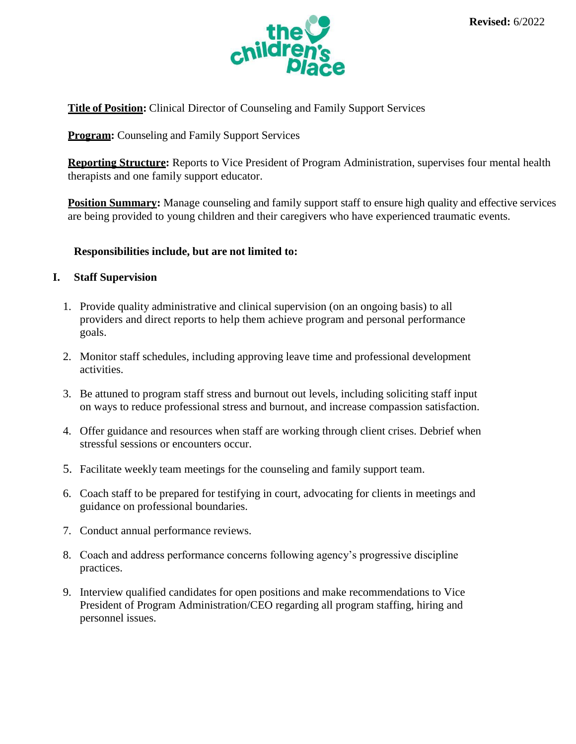

**Title of Position:** Clinical Director of Counseling and Family Support Services

**Program:** Counseling and Family Support Services

**Reporting Structure:** Reports to Vice President of Program Administration, supervises four mental health therapists and one family support educator.

**Position Summary:** Manage counseling and family support staff to ensure high quality and effective services are being provided to young children and their caregivers who have experienced traumatic events.

## **Responsibilities include, but are not limited to:**

## **I. Staff Supervision**

- 1. Provide quality administrative and clinical supervision (on an ongoing basis) to all providers and direct reports to help them achieve program and personal performance goals.
- 2. Monitor staff schedules, including approving leave time and professional development activities.
- 3. Be attuned to program staff stress and burnout out levels, including soliciting staff input on ways to reduce professional stress and burnout, and increase compassion satisfaction.
- 4. Offer guidance and resources when staff are working through client crises. Debrief when stressful sessions or encounters occur.
- 5. Facilitate weekly team meetings for the counseling and family support team.
- 6. Coach staff to be prepared for testifying in court, advocating for clients in meetings and guidance on professional boundaries.
- 7. Conduct annual performance reviews.
- 8. Coach and address performance concerns following agency's progressive discipline practices.
- 9. Interview qualified candidates for open positions and make recommendations to Vice President of Program Administration/CEO regarding all program staffing, hiring and personnel issues.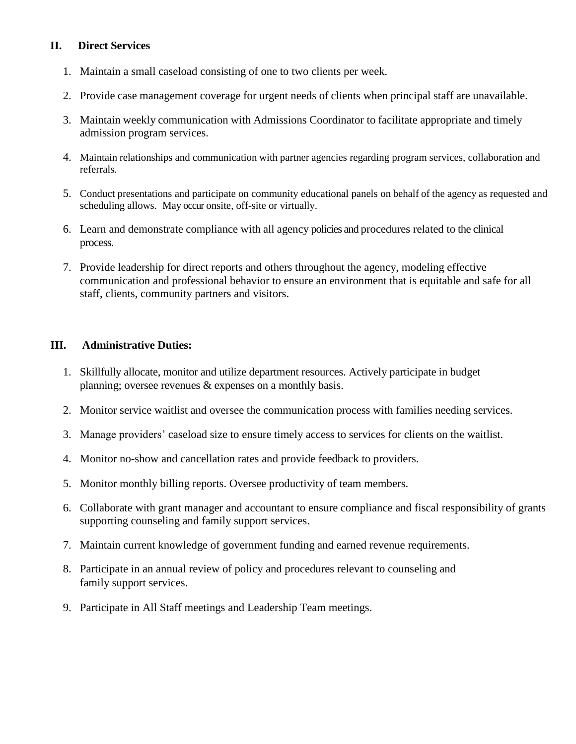# **II. Direct Services**

- 1. Maintain a small caseload consisting of one to two clients per week.
- 2. Provide case management coverage for urgent needs of clients when principal staff are unavailable.
- 3. Maintain weekly communication with Admissions Coordinator to facilitate appropriate and timely admission program services.
- 4. Maintain relationships and communication with partner agencies regarding program services, collaboration and referrals.
- 5. Conduct presentations and participate on community educational panels on behalf of the agency as requested and scheduling allows. May occur onsite, off-site or virtually.
- 6. Learn and demonstrate compliance with all agency policies and procedures related to the clinical process.
- 7. Provide leadership for direct reports and others throughout the agency, modeling effective communication and professional behavior to ensure an environment that is equitable and safe for all staff, clients, community partners and visitors.

## **III. Administrative Duties:**

- 1. Skillfully allocate, monitor and utilize department resources. Actively participate in budget planning; oversee revenues & expenses on a monthly basis.
- 2. Monitor service waitlist and oversee the communication process with families needing services.
- 3. Manage providers' caseload size to ensure timely access to services for clients on the waitlist.
- 4. Monitor no-show and cancellation rates and provide feedback to providers.
- 5. Monitor monthly billing reports. Oversee productivity of team members.
- 6. Collaborate with grant manager and accountant to ensure compliance and fiscal responsibility of grants supporting counseling and family support services.
- 7. Maintain current knowledge of government funding and earned revenue requirements.
- 8. Participate in an annual review of policy and procedures relevant to counseling and family support services.
- 9. Participate in All Staff meetings and Leadership Team meetings.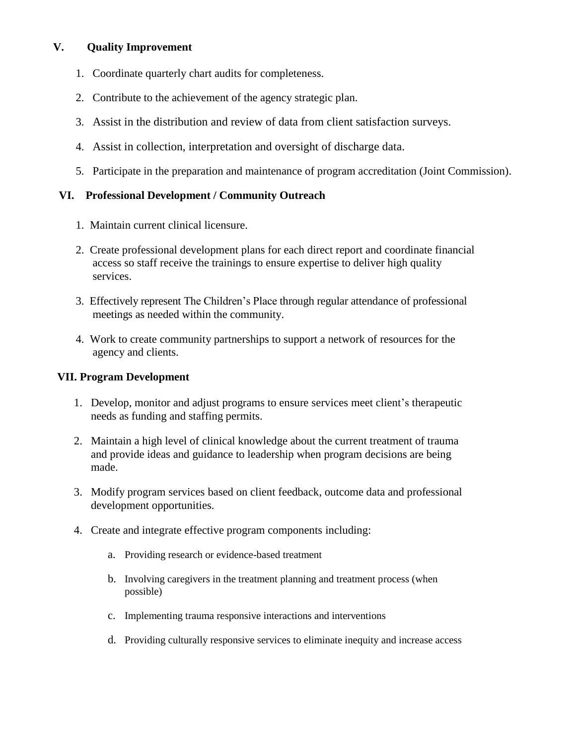# **V. Quality Improvement**

- 1. Coordinate quarterly chart audits for completeness.
- 2. Contribute to the achievement of the agency strategic plan.
- 3. Assist in the distribution and review of data from client satisfaction surveys.
- 4. Assist in collection, interpretation and oversight of discharge data.
- 5. Participate in the preparation and maintenance of program accreditation (Joint Commission).

# **VI. Professional Development / Community Outreach**

- 1. Maintain current clinical licensure.
- 2. Create professional development plans for each direct report and coordinate financial access so staff receive the trainings to ensure expertise to deliver high quality services.
- 3. Effectively represent The Children's Place through regular attendance of professional meetings as needed within the community.
- 4. Work to create community partnerships to support a network of resources for the agency and clients.

#### **VII. Program Development**

- 1. Develop, monitor and adjust programs to ensure services meet client's therapeutic needs as funding and staffing permits.
- 2. Maintain a high level of clinical knowledge about the current treatment of trauma and provide ideas and guidance to leadership when program decisions are being made.
- 3. Modify program services based on client feedback, outcome data and professional development opportunities.
- 4. Create and integrate effective program components including:
	- a. Providing research or evidence-based treatment
	- b. Involving caregivers in the treatment planning and treatment process (when possible)
	- c. Implementing trauma responsive interactions and interventions
	- d. Providing culturally responsive services to eliminate inequity and increase access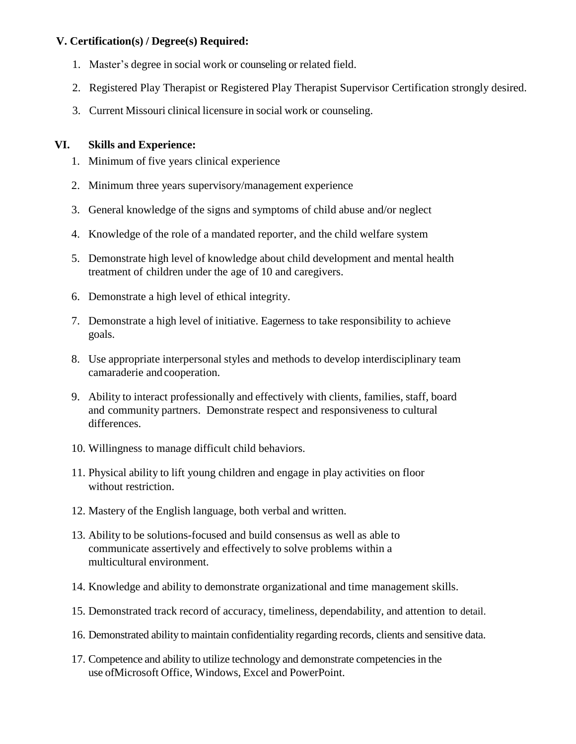# **V. Certification(s) / Degree(s) Required:**

- 1. Master's degree in social work or counseling or related field.
- 2. Registered Play Therapist or Registered Play Therapist Supervisor Certification strongly desired.
- 3. Current Missouri clinical licensure in social work or counseling.

# **VI. Skills and Experience:**

- 1. Minimum of five years clinical experience
- 2. Minimum three years supervisory/management experience
- 3. General knowledge of the signs and symptoms of child abuse and/or neglect
- 4. Knowledge of the role of a mandated reporter, and the child welfare system
- 5. Demonstrate high level of knowledge about child development and mental health treatment of children under the age of 10 and caregivers.
- 6. Demonstrate a high level of ethical integrity.
- 7. Demonstrate a high level of initiative. Eagerness to take responsibility to achieve goals.
- 8. Use appropriate interpersonal styles and methods to develop interdisciplinary team camaraderie and cooperation.
- 9. Ability to interact professionally and effectively with clients, families, staff, board and community partners. Demonstrate respect and responsiveness to cultural differences.
- 10. Willingness to manage difficult child behaviors.
- 11. Physical ability to lift young children and engage in play activities on floor without restriction.
- 12. Mastery of the English language, both verbal and written.
- 13. Ability to be solutions-focused and build consensus as well as able to communicate assertively and effectively to solve problems within a multicultural environment.
- 14. Knowledge and ability to demonstrate organizational and time management skills.
- 15. Demonstrated track record of accuracy, timeliness, dependability, and attention to detail.
- 16. Demonstrated ability to maintain confidentiality regarding records, clients and sensitive data.
- 17. Competence and ability to utilize technology and demonstrate competenciesin the use ofMicrosoft Office, Windows, Excel and PowerPoint.